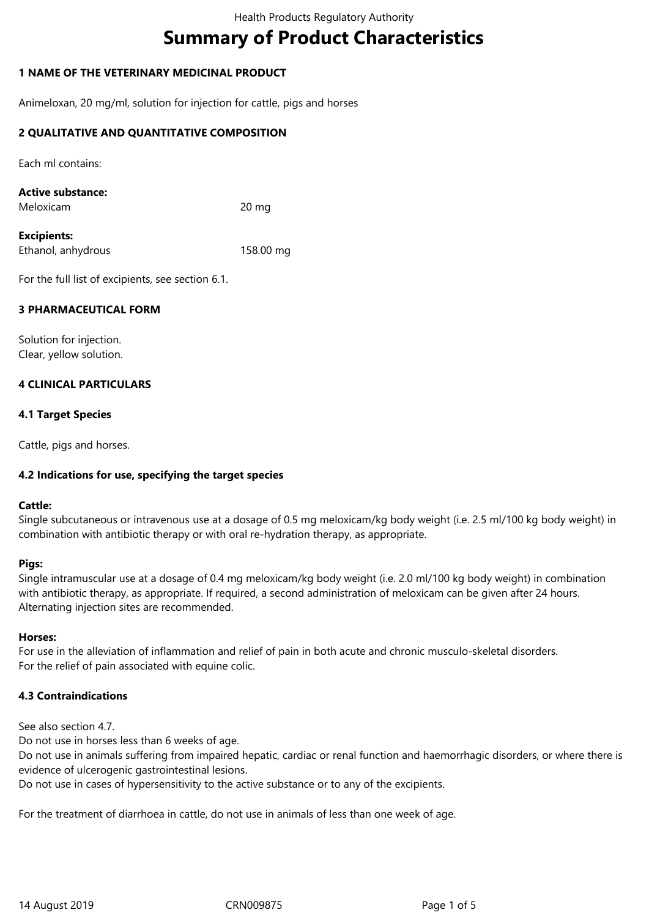# **Summary of Product Characteristics**

# **1 NAME OF THE VETERINARY MEDICINAL PRODUCT**

Animeloxan, 20 mg/ml, solution for injection for cattle, pigs and horses

## **2 QUALITATIVE AND QUANTITATIVE COMPOSITION**

Each ml contains:

| <b>Active substance:</b> |       |
|--------------------------|-------|
| Meloxicam                | 20 mg |

**Excipients:** Ethanol, anhydrous 158.00 mg

For the full list of excipients, see section 6.1.

## **3 PHARMACEUTICAL FORM**

Solution for injection. Clear, yellow solution.

## **4 CLINICAL PARTICULARS**

## **4.1 Target Species**

Cattle, pigs and horses.

# **4.2 Indications for use, specifying the target species**

#### **Cattle:**

Single subcutaneous or intravenous use at a dosage of 0.5 mg meloxicam/kg body weight (i.e. 2.5 ml/100 kg body weight) in combination with antibiotic therapy or with oral re-hydration therapy, as appropriate.

#### **Pigs:**

Single intramuscular use at a dosage of 0.4 mg meloxicam/kg body weight (i.e. 2.0 ml/100 kg body weight) in combination with antibiotic therapy, as appropriate. If required, a second administration of meloxicam can be given after 24 hours. Alternating injection sites are recommended.

#### **Horses:**

For use in the alleviation of inflammation and relief of pain in both acute and chronic musculo-skeletal disorders. For the relief of pain associated with equine colic.

#### **4.3 Contraindications**

See also section 4.7.

Do not use in horses less than 6 weeks of age.

Do not use in animals suffering from impaired hepatic, cardiac or renal function and haemorrhagic disorders, or where there is evidence of ulcerogenic gastrointestinal lesions.

Do not use in cases of hypersensitivity to the active substance or to any of the excipients.

For the treatment of diarrhoea in cattle, do not use in animals of less than one week of age.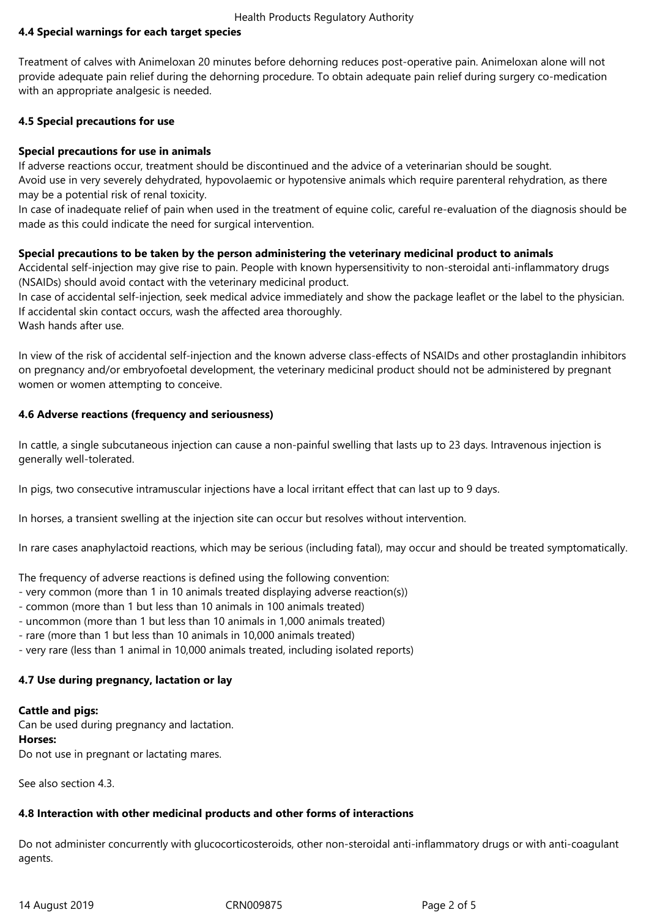#### Health Products Regulatory Authority

## **4.4 Special warnings for each target species**

Treatment of calves with Animeloxan 20 minutes before dehorning reduces post-operative pain. Animeloxan alone will not provide adequate pain relief during the dehorning procedure. To obtain adequate pain relief during surgery co-medication with an appropriate analgesic is needed.

## **4.5 Special precautions for use**

## **Special precautions for use in animals**

If adverse reactions occur, treatment should be discontinued and the advice of a veterinarian should be sought. Avoid use in very severely dehydrated, hypovolaemic or hypotensive animals which require parenteral rehydration, as there may be a potential risk of renal toxicity.

In case of inadequate relief of pain when used in the treatment of equine colic, careful re-evaluation of the diagnosis should be made as this could indicate the need for surgical intervention.

#### **Special precautions to be taken by the person administering the veterinary medicinal product to animals**

Accidental self-injection may give rise to pain. People with known hypersensitivity to non-steroidal anti-inflammatory drugs (NSAIDs) should avoid contact with the veterinary medicinal product.

In case of accidental self-injection, seek medical advice immediately and show the package leaflet or the label to the physician. If accidental skin contact occurs, wash the affected area thoroughly. Wash hands after use.

In view of the risk of accidental self-injection and the known adverse class-effects of NSAIDs and other prostaglandin inhibitors on pregnancy and/or embryofoetal development, the veterinary medicinal product should not be administered by pregnant women or women attempting to conceive.

## **4.6 Adverse reactions (frequency and seriousness)**

In cattle, a single subcutaneous injection can cause a non-painful swelling that lasts up to 23 days. Intravenous injection is generally well-tolerated.

In pigs, two consecutive intramuscular injections have a local irritant effect that can last up to 9 days.

In horses, a transient swelling at the injection site can occur but resolves without intervention.

In rare cases anaphylactoid reactions, which may be serious (including fatal), may occur and should be treated symptomatically.

The frequency of adverse reactions is defined using the following convention:

- very common (more than 1 in 10 animals treated displaying adverse reaction(s))
- common (more than 1 but less than 10 animals in 100 animals treated)
- uncommon (more than 1 but less than 10 animals in 1,000 animals treated)
- rare (more than 1 but less than 10 animals in 10,000 animals treated)
- very rare (less than 1 animal in 10,000 animals treated, including isolated reports)

# **4.7 Use during pregnancy, lactation or lay**

#### **Cattle and pigs:**

Can be used during pregnancy and lactation.

#### **Horses:**

Do not use in pregnant or lactating mares.

See also section 4.3.

#### **4.8 Interaction with other medicinal products and other forms of interactions**

Do not administer concurrently with glucocorticosteroids, other non-steroidal anti-inflammatory drugs or with anti-coagulant agents.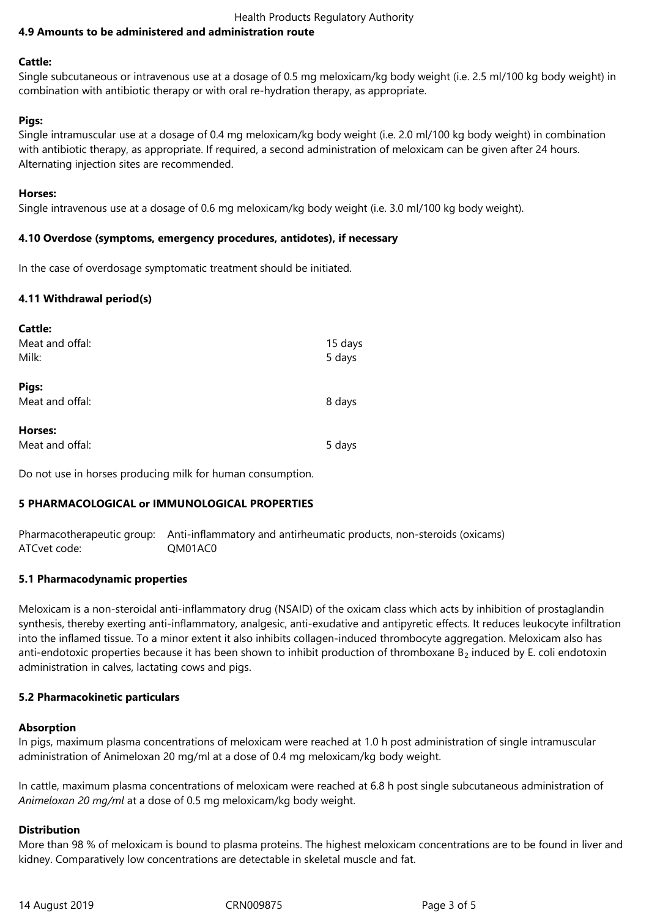## Health Products Regulatory Authority

## **4.9 Amounts to be administered and administration route**

#### **Cattle:**

Single subcutaneous or intravenous use at a dosage of 0.5 mg meloxicam/kg body weight (i.e. 2.5 ml/100 kg body weight) in combination with antibiotic therapy or with oral re-hydration therapy, as appropriate.

#### **Pigs:**

Single intramuscular use at a dosage of 0.4 mg meloxicam/kg body weight (i.e. 2.0 ml/100 kg body weight) in combination with antibiotic therapy, as appropriate. If required, a second administration of meloxicam can be given after 24 hours. Alternating injection sites are recommended.

#### **Horses:**

Single intravenous use at a dosage of 0.6 mg meloxicam/kg body weight (i.e. 3.0 ml/100 kg body weight).

#### **4.10 Overdose (symptoms, emergency procedures, antidotes), if necessary**

In the case of overdosage symptomatic treatment should be initiated.

#### **4.11 Withdrawal period(s)**

| <b>Cattle:</b><br>Meat and offal:<br>Milk: | 15 days<br>5 days |
|--------------------------------------------|-------------------|
| Pigs:<br>Meat and offal:                   | 8 days            |
| Horses:<br>Meat and offal:                 | 5 days            |

Do not use in horses producing milk for human consumption.

#### **5 PHARMACOLOGICAL or IMMUNOLOGICAL PROPERTIES**

Pharmacotherapeutic group: Anti-inflammatory and antirheumatic products, non-steroids (oxicams) ATCvet code: 0M01AC0

#### **5.1 Pharmacodynamic properties**

Meloxicam is a non-steroidal anti-inflammatory drug (NSAID) of the oxicam class which acts by inhibition of prostaglandin synthesis, thereby exerting anti-inflammatory, analgesic, anti-exudative and antipyretic effects. It reduces leukocyte infiltration into the inflamed tissue. To a minor extent it also inhibits collagen-induced thrombocyte aggregation. Meloxicam also has anti-endotoxic properties because it has been shown to inhibit production of thromboxane  $B_2$  induced by E. coli endotoxin administration in calves, lactating cows and pigs.

#### **5.2 Pharmacokinetic particulars**

#### **Absorption**

In pigs, maximum plasma concentrations of meloxicam were reached at 1.0 h post administration of single intramuscular administration of Animeloxan 20 mg/ml at a dose of 0.4 mg meloxicam/kg body weight.

In cattle, maximum plasma concentrations of meloxicam were reached at 6.8 h post single subcutaneous administration of *Animeloxan 20 mg/ml* at a dose of 0.5 mg meloxicam/kg body weight.

#### **Distribution**

More than 98 % of meloxicam is bound to plasma proteins. The highest meloxicam concentrations are to be found in liver and kidney. Comparatively low concentrations are detectable in skeletal muscle and fat.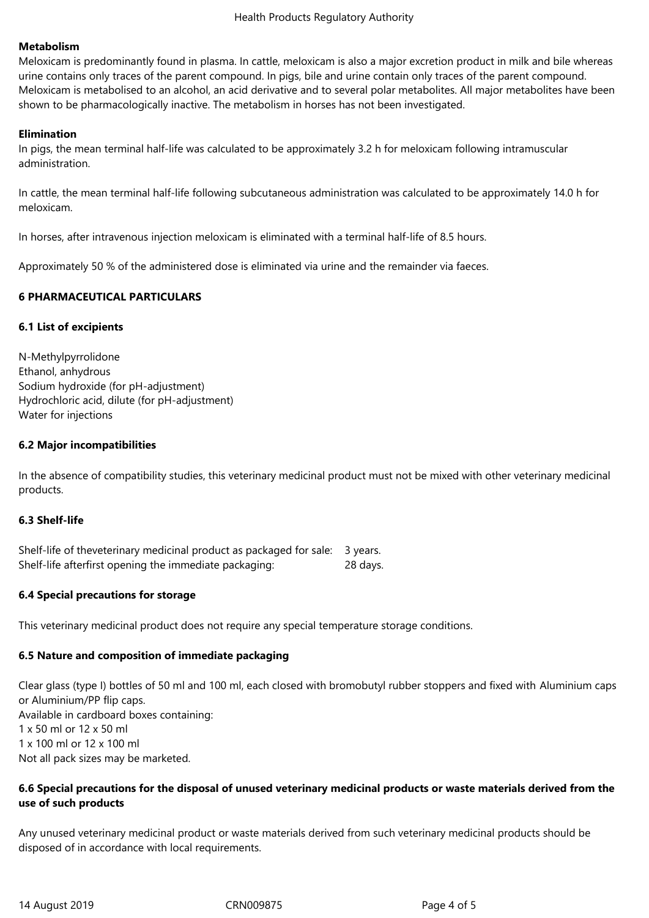## **Metabolism**

Meloxicam is predominantly found in plasma. In cattle, meloxicam is also a major excretion product in milk and bile whereas urine contains only traces of the parent compound. In pigs, bile and urine contain only traces of the parent compound. Meloxicam is metabolised to an alcohol, an acid derivative and to several polar metabolites. All major metabolites have been shown to be pharmacologically inactive. The metabolism in horses has not been investigated.

#### **Elimination**

In pigs, the mean terminal half-life was calculated to be approximately 3.2 h for meloxicam following intramuscular administration.

In cattle, the mean terminal half-life following subcutaneous administration was calculated to be approximately 14.0 h for meloxicam.

In horses, after intravenous injection meloxicam is eliminated with a terminal half-life of 8.5 hours.

Approximately 50 % of the administered dose is eliminated via urine and the remainder via faeces.

# **6 PHARMACEUTICAL PARTICULARS**

## **6.1 List of excipients**

N-Methylpyrrolidone Ethanol, anhydrous Sodium hydroxide (for pH-adjustment) Hydrochloric acid, dilute (for pH-adjustment) Water for injections

## **6.2 Major incompatibilities**

In the absence of compatibility studies, this veterinary medicinal product must not be mixed with other veterinary medicinal products.

#### **6.3 Shelf-life**

Shelf-life of theveterinary medicinal product as packaged for sale: 3 years. Shelf-life afterfirst opening the immediate packaging: 28 days.

# **6.4 Special precautions for storage**

This veterinary medicinal product does not require any special temperature storage conditions.

# **6.5 Nature and composition of immediate packaging**

Clear glass (type I) bottles of 50 ml and 100 ml, each closed with bromobutyl rubber stoppers and fixed with Aluminium caps or Aluminium/PP flip caps. Available in cardboard boxes containing: 1 x 50 ml or 12 x 50 ml 1 x 100 ml or 12 x 100 ml Not all pack sizes may be marketed.

## **6.6 Special precautions for the disposal of unused veterinary medicinal products or waste materials derived from the use of such products**

Any unused veterinary medicinal product or waste materials derived from such veterinary medicinal products should be disposed of in accordance with local requirements.